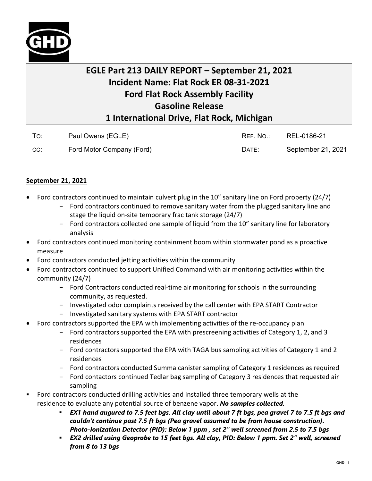

## **EGLE Part 213 DAILY REPORT – September 21, 2021 Incident Name: Flat Rock ER 08-31-2021 Ford Flat Rock Assembly Facility Gasoline Release 1 International Drive, Flat Rock, Michigan**

|     | Paul Owens (EGLE)         | RFF. NO.: | REL-0186-21        |
|-----|---------------------------|-----------|--------------------|
| CC: | Ford Motor Company (Ford) | DATE:     | September 21, 2021 |

## **September 21, 2021**

- Ford contractors continued to maintain culvert plug in the 10" sanitary line on Ford property (24/7)
	- Ford contractors continued to remove sanitary water from the plugged sanitary line and stage the liquid on-site temporary frac tank storage (24/7)
	- Ford contractors collected one sample of liquid from the 10" sanitary line for laboratory analysis
- Ford contractors continued monitoring containment boom within stormwater pond as a proactive measure
- Ford contractors conducted jetting activities within the community
- Ford contractors continued to support Unified Command with air monitoring activities within the community (24/7)
	- Ford Contractors conducted real-time air monitoring for schools in the surrounding community, as requested.
	- Investigated odor complaints received by the call center with EPA START Contractor
	- Investigated sanitary systems with EPA START contractor
- Ford contractors supported the EPA with implementing activities of the re-occupancy plan
	- Ford contractors supported the EPA with prescreening activities of Category 1, 2, and 3 residences
	- Ford contractors supported the EPA with TAGA bus sampling activities of Category 1 and 2 residences
	- Ford contractors conducted Summa canister sampling of Category 1 residences as required
	- Ford contactors continued Tedlar bag sampling of Category 3 residences that requested air sampling
- Ford contractors conducted drilling activities and installed three temporary wells at the residence to evaluate any potential source of benzene vapor. *No samples collected.*
	- *EX1 hand augured to 7.5 feet bgs. All clay until about 7 ft bgs, pea gravel 7 to 7.5 ft bgs and couldn't continue past 7.5 ft bgs (Pea gravel assumed to be from house construction). Photo-Ionization Detector (PID): Below 1 ppm , set 2" well screened from 2.5 to 7.5 bgs*
	- *EX2 drilled using Geoprobe to 15 feet bgs. All clay, PID: Below 1 ppm. Set 2" well, screened from 8 to 13 bgs*